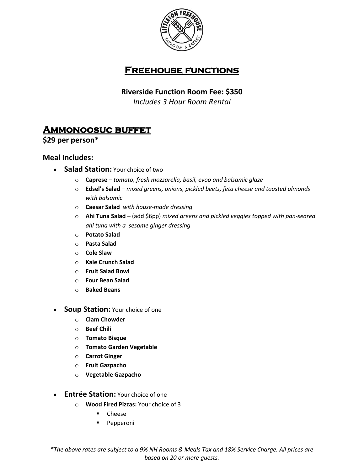

## **Freehouse functions**

#### **Riverside Function Room Fee: \$350**

*Includes 3 Hour Room Rental*

# **Ammonoosuc buffet**

**\$29 per person\***

#### **Meal Includes:**

- **Salad Station:** Your choice of two
	- o **Caprese** *tomato, fresh mozzarella, basil, evoo and balsamic glaze*
	- o **Edsel's Salad** *mixed greens, onions, pickled beets, feta cheese and toasted almonds with balsamic*
	- o **Caesar Salad** *with house-made dressing*
	- o **Ahi Tuna Salad**  (add \$6pp) *mixed greens and pickled veggies topped with pan-seared ahi tuna with a sesame ginger dressing*
	- o **Potato Salad**
	- o **Pasta Salad**
	- o **Cole Slaw**
	- o **Kale Crunch Salad**
	- o **Fruit Salad Bowl**
	- o **Four Bean Salad**
	- o **Baked Beans**
- **Soup Station:** Your choice of one
	- o **Clam Chowder**
	- o **Beef Chili**
	- o **Tomato Bisque**
	- o **Tomato Garden Vegetable**
	- o **Carrot Ginger**
	- o **Fruit Gazpacho**
	- o **Vegetable Gazpacho**
- **Entrée Station:** Your choice of one
	- o **Wood Fired Pizzas:** Your choice of 3
		- Cheese
		- Pepperoni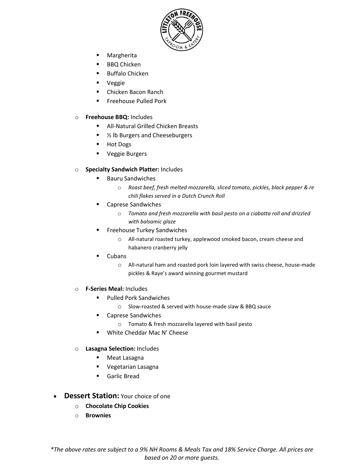

- Margherita
- **BBQ Chicken**
- Buffalo Chicken
- Veggie
- Chicken Bacon Ranch
- **Executed** Pork

#### o **Freehouse BBQ:** Includes

- All-Natural Grilled Chicken Breasts
- <sup>1/2</sup> lb Burgers and Cheeseburgers
- Hot Dogs
- Veggie Burgers

#### o **Specialty Sandwich Platter:** Includes

- Bauru Sandwiches
	- o *Roast beef, fresh melted mozzarella, sliced tomato, pickles, black pepper & re chili flakes served in a Dutch Crunch Roll*
- Caprese Sandwiches
	- o *Tomato and fresh mozzarella with basil pesto on a ciabatta roll and drizzled with balsamic glaze*
- **Freehouse Turkey Sandwiches** 
	- o All-natural roasted turkey, applewood smoked bacon, cream cheese and habanero cranberry jelly
- **Cubans** 
	- o All-natural ham and roasted pork loin layered with swiss cheese, house-made pickles & Raye's award winning gourmet mustard
- o **F-Series Meal:** Includes
	- Pulled Pork Sandwiches
		- o Slow-roasted & served with house-made slaw & BBQ sauce
	- Caprese Sandwiches
		- o Tomato & fresh mozzarella layered with basil pesto
	- White Cheddar Mac N' Cheese
- o **Lasagna Selection:** Includes
	- Meat Lasagna
	- Vegetarian Lasagna
	- Garlic Bread
- **Dessert Station:** Your choice of one
	- o **Chocolate Chip Cookies**
	- o **Brownies**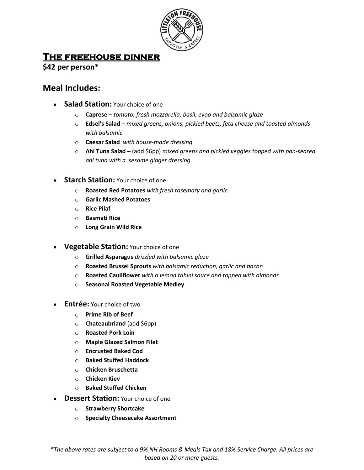

## **The freehouse dinner**

**\$42 per person\***

## **Meal Includes:**

- **Salad Station: Your choice of one** 
	- o **Caprese** *tomato, fresh mozzarella, basil, evoo and balsamic glaze*
	- o **Edsel's Salad** *mixed greens, onions, pickled beets, feta cheese and toasted almonds with balsamic*
	- o **Caesar Salad** *with house-made dressing*
	- o **Ahi Tuna Salad**  (add \$6pp) *mixed greens and pickled veggies topped with pan-seared ahi tuna with a sesame ginger dressing*
- **Starch Station:** Your choice of one
	- o **Roasted Red Potatoes** *with fresh rosemary and garlic*
	- o **Garlic Mashed Potatoes**
	- o **Rice Pilaf**
	- o **Basmati Rice**
	- o **Long Grain Wild Rice**
- **Vegetable Station:** Your choice of one
	- o **Grilled Asparagus** *drizzled with balsamic glaze*
	- o **Roasted Brussel Sprouts** *with balsamic reduction, garlic and bacon*
	- o **Roasted Cauliflower** *with a lemon tahini sauce and topped with almonds*
	- o **Seasonal Roasted Vegetable Medley**
- **Entrée:** Your choice of two
	- o **Prime Rib of Beef**
	- o **Chateaubriand** (add \$6pp)
	- o **Roasted Pork Loin**
	- o **Maple Glazed Salmon Filet**
	- o **Encrusted Baked Cod**
	- o **Baked Stuffed Haddock**
	- o **Chicken Bruschetta**
	- o **Chicken Kiev**
	- o **Baked Stuffed Chicken**
- **Dessert Station:** Your choice of one
	- o **Strawberry Shortcake**
	- o **Specialty Cheesecake Assortment**